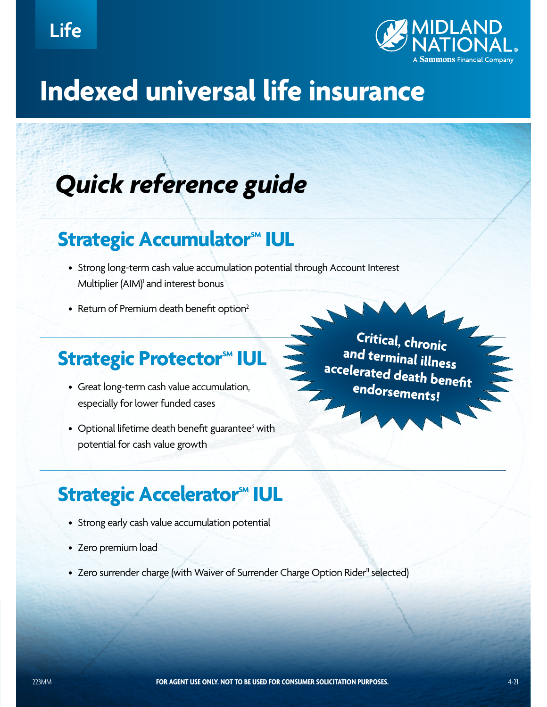

# **Indexed universal life insurance**

# *Quick reference guide*

### **Strategic Accumulator<sup>SM</sup> IUL**

- Strong long-term cash value accumulation potential through Account Interest Multiplier (AIM)<sup>1</sup> and interest bonus
- Return of Premium death benefit option<sup>2</sup>

## **Strategic Protector<sup>SM</sup> IUL**

- Great long-term cash value accumulation, especially for lower funded cases
- $\bullet~$  Optional lifetime death benefit guarantee $^3$  with potential for cash value growth

**Critical, chronic and terminal illness accelerated death benefit endorsements!**

## **Strategic Accelerator<sup>M</sup> IUL**

- Strong early cash value accumulation potential
- Zero premium load
- Zero surrender charge (with Waiver of Surrender Charge Option Rider<sup>11</sup> selected)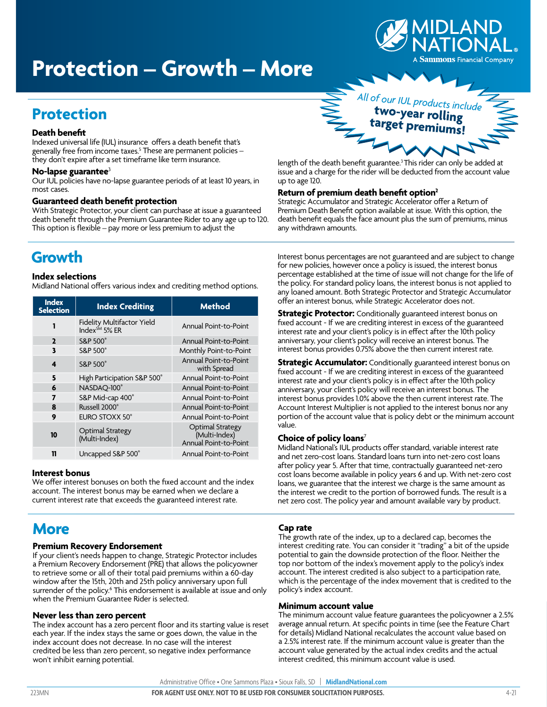

# **Protection – Growth – More**

### **Protection**

#### **Death benefit**

Indexed universal life (IUL) insurance offers a death benefit that's generally free from income taxes.<sup>5</sup> These are permanent policies – they don't expire after a set timeframe like term insurance.

#### **No-lapse guarantee**<sup>3</sup>

Our IUL policies have no-lapse guarantee periods of at least 10 years, in most cases.

#### **Guaranteed death benefit protection**

With Strategic Protector, your client can purchase at issue a guaranteed death benefit through the Premium Guarantee Rider to any age up to 120. This option is flexible – pay more or less premium to adjust the

### **Growth**

#### **Index selections**

Midland National offers various index and crediting method options.

| <b>Index</b><br><b>Selection</b> | <b>Index Crediting</b>                                  | <b>Method</b>                                                     |
|----------------------------------|---------------------------------------------------------|-------------------------------------------------------------------|
| 1                                | Fidelity Multifactor Yield<br>Index <sup>SM</sup> 5% ER | Annual Point-to-Point                                             |
| $\mathbf{2}$                     | <b>S&amp;P 500°</b>                                     | Annual Point-to-Point                                             |
| 3                                | S&P 500°                                                | Monthly Point-to-Point                                            |
| 4                                | S&P 500°                                                | Annual Point-to-Point<br>with Spread                              |
| 5                                | High Participation S&P 500°                             | Annual Point-to-Point                                             |
| 6                                | NASDAO-100°                                             | <b>Annual Point-to-Point</b>                                      |
| 7                                | S&P Mid-cap 400°                                        | <b>Annual Point-to-Point</b>                                      |
| 8                                | Russell 2000 <sup>®</sup>                               | Annual Point-to-Point                                             |
| 9                                | EURO STOXX 50°                                          | Annual Point-to-Point                                             |
| 10                               | <b>Optimal Strategy</b><br>(Multi-Index)                | <b>Optimal Strategy</b><br>(Multi-Index)<br>Annual Point-to-Point |
| 11                               | Uncapped S&P 500°                                       | Annual Point-to-Point                                             |

#### **Interest bonus**

We offer interest bonuses on both the fixed account and the index account. The interest bonus may be earned when we declare a current interest rate that exceeds the guaranteed interest rate.

### **More**

#### **Premium Recovery Endorsement**

If your client's needs happen to change, Strategic Protector includes a Premium Recovery Endorsement (PRE) that allows the policyowner to retrieve some or all of their total paid premiums within a 60-day window after the 15th, 20th and 25th policy anniversary upon full surrender of the policy.<sup>6</sup> This endorsement is available at issue and only when the Premium Guarantee Rider is selected.

#### **Never less than zero percent**

The index account has a zero percent floor and its starting value is reset each year. If the index stays the same or goes down, the value in the index account does not decrease. In no case will the interest credited be less than zero percent, so negative index performance won't inhibit earning potential.



length of the death benefit guarantee.<sup>3</sup> This rider can only be added at issue and a charge for the rider will be deducted from the account value up to age 120.

#### **Return of premium death benefit option2**

Strategic Accumulator and Strategic Accelerator offer a Return of Premium Death Benefit option available at issue. With this option, the death benefit equals the face amount plus the sum of premiums, minus any withdrawn amounts.

Interest bonus percentages are not guaranteed and are subject to change for new policies, however once a policy is issued, the interest bonus percentage established at the time of issue will not change for the life of the policy. For standard policy loans, the interest bonus is not applied to any loaned amount. Both Strategic Protector and Strategic Accumulator offer an interest bonus, while Strategic Accelerator does not.

**Strategic Protector:** Conditionally guaranteed interest bonus on fixed account - If we are crediting interest in excess of the guaranteed interest rate and your client's policy is in effect after the 10th policy anniversary, your client's policy will receive an interest bonus. The interest bonus provides 0.75% above the then current interest rate.

**Strategic Accumulator:** Conditionally guaranteed interest bonus on fixed account - If we are crediting interest in excess of the guaranteed interest rate and your client's policy is in effect after the 10th policy anniversary, your client's policy will receive an interest bonus. The interest bonus provides 1.0% above the then current interest rate. The Account Interest Multiplier is not applied to the interest bonus nor any portion of the account value that is policy debt or the minimum account value.

#### **Choice of policy loans**<sup>7</sup>

Midland National's IUL products offer standard, variable interest rate and net zero-cost loans. Standard loans turn into net-zero cost loans after policy year 5. After that time, contractually guaranteed net-zero cost loans become available in policy years 6 and up. With net-zero cost loans, we guarantee that the interest we charge is the same amount as the interest we credit to the portion of borrowed funds. The result is a net zero cost. The policy year and amount available vary by product.

#### **Cap rate**

The growth rate of the index, up to a declared cap, becomes the interest crediting rate. You can consider it "trading" a bit of the upside potential to gain the downside protection of the floor. Neither the top nor bottom of the index's movement apply to the policy's index account. The interest credited is also subject to a participation rate, which is the percentage of the index movement that is credited to the policy's index account.

#### **Minimum account value**

The minimum account value feature guarantees the policyowner a 2.5% average annual return. At specific points in time (see the Feature Chart for details) Midland National recalculates the account value based on a 2.5% interest rate. If the minimum account value is greater than the account value generated by the actual index credits and the actual interest credited, this minimum account value is used.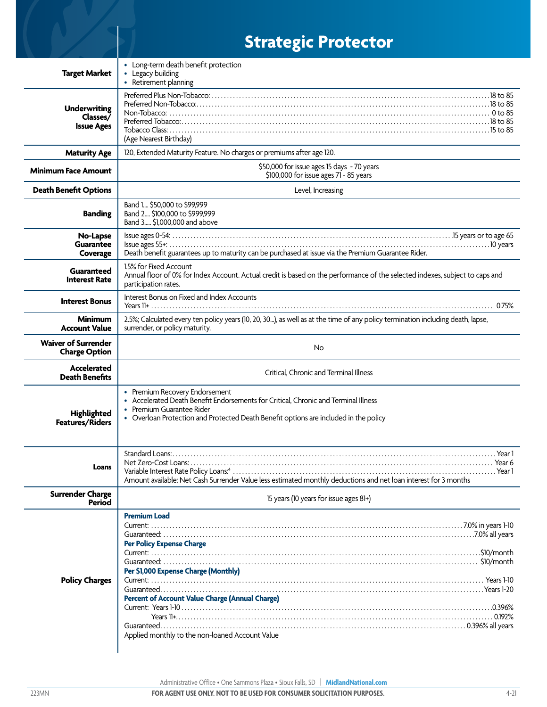|                                                      | <b>Strategic Protector</b>                                                                                                                                                                                                                 |
|------------------------------------------------------|--------------------------------------------------------------------------------------------------------------------------------------------------------------------------------------------------------------------------------------------|
| <b>Target Market</b>                                 | • Long-term death benefit protection<br>• Legacy building<br>• Retirement planning                                                                                                                                                         |
| <b>Underwriting</b><br>Classes/<br><b>Issue Ages</b> | (Age Nearest Birthday)                                                                                                                                                                                                                     |
| <b>Maturity Age</b>                                  | 120, Extended Maturity Feature. No charges or premiums after age 120.                                                                                                                                                                      |
| <b>Minimum Face Amount</b>                           | \$50,000 for issue ages 15 days - 70 years<br>\$100,000 for issue ages 71 - 85 years                                                                                                                                                       |
| <b>Death Benefit Options</b>                         | Level, Increasing                                                                                                                                                                                                                          |
| <b>Banding</b>                                       | Band 1 \$50,000 to \$99,999<br>Band 2 \$100,000 to \$999,999<br>Band 3 \$1,000,000 and above                                                                                                                                               |
| No-Lapse<br><b>Guarantee</b><br>Coverage             | Death benefit guarantees up to maturity can be purchased at issue via the Premium Guarantee Rider.                                                                                                                                         |
| Guaranteed<br><b>Interest Rate</b>                   | 1.5% for Fixed Account<br>Annual floor of 0% for Index Account. Actual credit is based on the performance of the selected indexes, subject to caps and<br>participation rates.                                                             |
| <b>Interest Bonus</b>                                | Interest Bonus on Fixed and Index Accounts                                                                                                                                                                                                 |
| <b>Minimum</b><br><b>Account Value</b>               | 2.5%; Calculated every ten policy years (10, 20, 30), as well as at the time of any policy termination including death, lapse,<br>surrender, or policy maturity.                                                                           |
| <b>Waiver of Surrender</b><br><b>Charge Option</b>   | No                                                                                                                                                                                                                                         |
| <b>Accelerated</b><br><b>Death Benefits</b>          | Critical, Chronic and Terminal Illness                                                                                                                                                                                                     |
| Highlighted<br>Features/Riders                       | • Premium Recovery Endorsement<br>• Accelerated Death Benefit Endorsements for Critical, Chronic and Terminal Illness<br>• Premium Guarantee Rider<br>• Overloan Protection and Protected Death Benefit options are included in the policy |
| Loans                                                | Amount available: Net Cash Surrender Value less estimated monthly deductions and net loan interest for 3 months                                                                                                                            |
| <b>Surrender Charge</b><br>Period                    | 15 years (10 years for issue ages 81+)                                                                                                                                                                                                     |
| <b>Policy Charges</b>                                | <b>Premium Load</b><br><b>Per Policy Expense Charge</b><br>Per \$1,000 Expense Charge (Monthly)<br><b>Percent of Account Value Charge (Annual Charge)</b><br>Applied monthly to the non-loaned Account Value                               |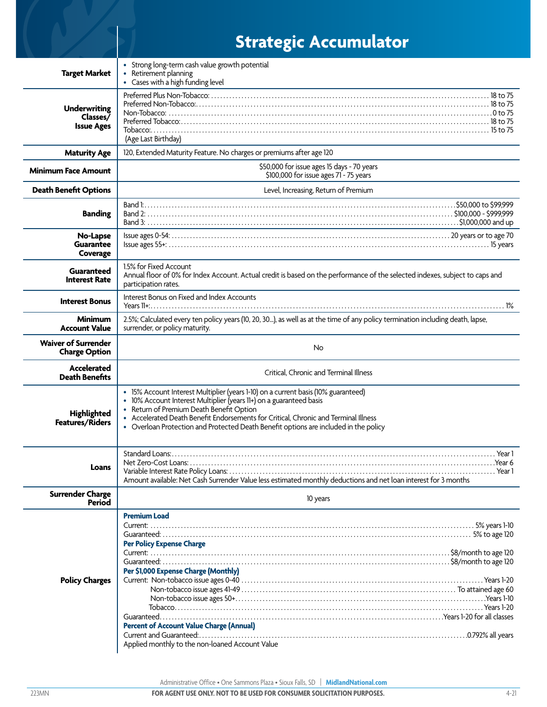|                                                      | <b>Strategic Accumulator</b>                                                                                                                                                                                                                                                                                                                                                         |
|------------------------------------------------------|--------------------------------------------------------------------------------------------------------------------------------------------------------------------------------------------------------------------------------------------------------------------------------------------------------------------------------------------------------------------------------------|
| <b>Target Market</b>                                 | • Strong long-term cash value growth potential<br>• Retirement planning<br>• Cases with a high funding level                                                                                                                                                                                                                                                                         |
| <b>Underwriting</b><br>Classes/<br><b>Issue Ages</b> | (Age Last Birthday)                                                                                                                                                                                                                                                                                                                                                                  |
| <b>Maturity Age</b>                                  | 120, Extended Maturity Feature. No charges or premiums after age 120                                                                                                                                                                                                                                                                                                                 |
| <b>Minimum Face Amount</b>                           | \$50,000 for issue ages 15 days - 70 years<br>\$100,000 for issue ages 71 - 75 years                                                                                                                                                                                                                                                                                                 |
| <b>Death Benefit Options</b>                         | Level, Increasing, Return of Premium                                                                                                                                                                                                                                                                                                                                                 |
| <b>Banding</b>                                       | \$50,000 to \$99,999<br>Band 1:                                                                                                                                                                                                                                                                                                                                                      |
| No-Lapse<br>Guarantee<br>Coverage                    |                                                                                                                                                                                                                                                                                                                                                                                      |
| Guaranteed<br><b>Interest Rate</b>                   | 1.5% for Fixed Account<br>Annual floor of 0% for Index Account. Actual credit is based on the performance of the selected indexes, subject to caps and<br>participation rates.                                                                                                                                                                                                       |
| <b>Interest Bonus</b>                                | Interest Bonus on Fixed and Index Accounts                                                                                                                                                                                                                                                                                                                                           |
| Minimum<br><b>Account Value</b>                      | 2.5%; Calculated every ten policy years (10, 20, 30), as well as at the time of any policy termination including death, lapse,<br>surrender, or policy maturity.                                                                                                                                                                                                                     |
| <b>Waiver of Surrender</b><br><b>Charge Option</b>   | No                                                                                                                                                                                                                                                                                                                                                                                   |
| Accelerated<br><b>Death Benefits</b>                 | Critical, Chronic and Terminal Illness                                                                                                                                                                                                                                                                                                                                               |
| Highlighted<br>Features/Riders                       | • 15% Account Interest Multiplier (years 1-10) on a current basis (10% guaranteed)<br>• 10% Account Interest Multiplier (years 11+) on a guaranteed basis<br>• Return of Premium Death Benefit Option<br>• Accelerated Death Benefit Endorsements for Critical, Chronic and Terminal Illness<br>• Overloan Protection and Protected Death Benefit options are included in the policy |
| Loans                                                | Amount available: Net Cash Surrender Value less estimated monthly deductions and net loan interest for 3 months                                                                                                                                                                                                                                                                      |
| <b>Surrender Charge</b><br>Period                    | 10 years                                                                                                                                                                                                                                                                                                                                                                             |
| <b>Policy Charges</b>                                | <b>Premium Load</b><br><b>Per Policy Expense Charge</b><br>Per \$1,000 Expense Charge (Monthly)<br><b>Percent of Account Value Charge (Annual)</b><br>Applied monthly to the non-loaned Account Value                                                                                                                                                                                |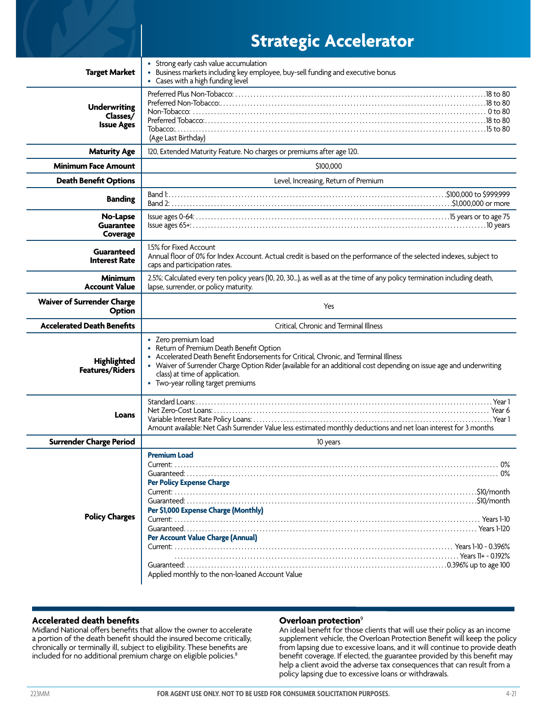|                                               | <b>Strategic Accelerator</b>                                                                                                                                                                                                                                                                                                                           |  |
|-----------------------------------------------|--------------------------------------------------------------------------------------------------------------------------------------------------------------------------------------------------------------------------------------------------------------------------------------------------------------------------------------------------------|--|
| <b>Target Market</b>                          | • Strong early cash value accumulation<br>· Business markets including key employee, buy-sell funding and executive bonus<br>• Cases with a high funding level                                                                                                                                                                                         |  |
| Underwriting<br>Classes/<br><b>Issue Ages</b> | 0 to 80 to 80 to 80 to 80 to 80 to 80 to 80 to 80 to 80 to 80 to 80 to 80 to 80 to 80 to 80 to 80 to 80 to 80 to 80 to 80 to 80 to 80 to 80 to 80 to 80 to 80 to 80 to 80 to 80 to 80 to 80 to 80 to 80 to 80 to 80 to 80 to 8<br>(Age Last Birthday)                                                                                                  |  |
| <b>Maturity Age</b>                           | 120, Extended Maturity Feature. No charges or premiums after age 120.                                                                                                                                                                                                                                                                                  |  |
| <b>Minimum Face Amount</b>                    | \$100,000                                                                                                                                                                                                                                                                                                                                              |  |
| <b>Death Benefit Options</b>                  | Level, Increasing, Return of Premium                                                                                                                                                                                                                                                                                                                   |  |
| <b>Banding</b>                                |                                                                                                                                                                                                                                                                                                                                                        |  |
| No-Lapse<br>Guarantee<br>Coverage             |                                                                                                                                                                                                                                                                                                                                                        |  |
| Guaranteed<br><b>Interest Rate</b>            | 1.5% for Fixed Account<br>Annual floor of 0% for Index Account. Actual credit is based on the performance of the selected indexes, subject to<br>caps and participation rates.                                                                                                                                                                         |  |
| <b>Minimum</b><br><b>Account Value</b>        | 2.5%; Calculated every ten policy years (10, 20, 30), as well as at the time of any policy termination including death,<br>lapse, surrender, or policy maturity.                                                                                                                                                                                       |  |
| <b>Waiver of Surrender Charge</b><br>Option   | Yes                                                                                                                                                                                                                                                                                                                                                    |  |
| <b>Accelerated Death Benefits</b>             | Critical, Chronic and Terminal Illness                                                                                                                                                                                                                                                                                                                 |  |
| Highlighted<br>Features/Riders                | • Zero premium load<br>• Return of Premium Death Benefit Option<br>• Accelerated Death Benefit Endorsements for Critical, Chronic, and Terminal Illness<br>• Waiver of Surrender Charge Option Rider (available for an additional cost depending on issue age and underwriting<br>class) at time of application.<br>• Two-year rolling target premiums |  |
| Loans                                         | Amount available: Net Cash Surrender Value less estimated monthly deductions and net loan interest for 3 months                                                                                                                                                                                                                                        |  |
| <b>Surrender Charge Period</b>                | 10 years                                                                                                                                                                                                                                                                                                                                               |  |
| <b>Policy Charges</b>                         | <b>Premium Load</b><br><b>Per Policy Expense Charge</b><br>Per \$1,000 Expense Charge (Monthly)<br><b>Per Account Value Charge (Annual)</b>                                                                                                                                                                                                            |  |
|                                               | Applied monthly to the non-loaned Account Value                                                                                                                                                                                                                                                                                                        |  |

#### **Accelerated death benefits**

Midland National offers benefits that allow the owner to accelerate a portion of the death benefit should the insured become critically, chronically or terminally ill, subject to eligibility. These benefits are included for no additional premium charge on eligible policies.<sup>8</sup>

#### **Overloan protection**<sup>9</sup>

An ideal benefit for those clients that will use their policy as an income supplement vehicle, the Overloan Protection Benefit will keep the policy from lapsing due to excessive loans, and it will continue to provide death benefit coverage. If elected, the guarantee provided by this benefit may help a client avoid the adverse tax consequences that can result from a policy lapsing due to excessive loans or withdrawals.